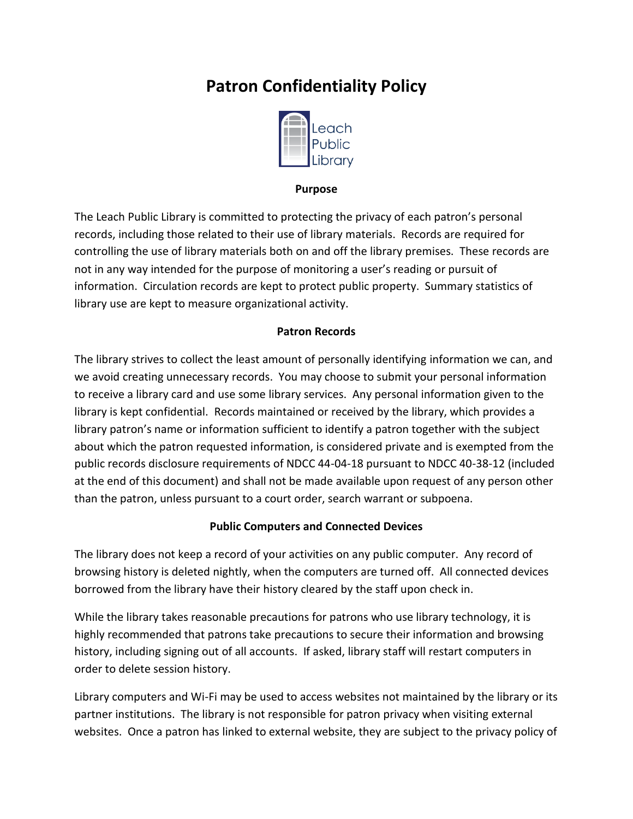# **Patron Confidentiality Policy**



#### **Purpose**

The Leach Public Library is committed to protecting the privacy of each patron's personal records, including those related to their use of library materials. Records are required for controlling the use of library materials both on and off the library premises. These records are not in any way intended for the purpose of monitoring a user's reading or pursuit of information. Circulation records are kept to protect public property. Summary statistics of library use are kept to measure organizational activity.

#### **Patron Records**

The library strives to collect the least amount of personally identifying information we can, and we avoid creating unnecessary records. You may choose to submit your personal information to receive a library card and use some library services. Any personal information given to the library is kept confidential. Records maintained or received by the library, which provides a library patron's name or information sufficient to identify a patron together with the subject about which the patron requested information, is considered private and is exempted from the public records disclosure requirements of NDCC 44-04-18 pursuant to NDCC 40-38-12 (included at the end of this document) and shall not be made available upon request of any person other than the patron, unless pursuant to a court order, search warrant or subpoena.

#### **Public Computers and Connected Devices**

The library does not keep a record of your activities on any public computer. Any record of browsing history is deleted nightly, when the computers are turned off. All connected devices borrowed from the library have their history cleared by the staff upon check in.

While the library takes reasonable precautions for patrons who use library technology, it is highly recommended that patrons take precautions to secure their information and browsing history, including signing out of all accounts. If asked, library staff will restart computers in order to delete session history.

Library computers and Wi-Fi may be used to access websites not maintained by the library or its partner institutions. The library is not responsible for patron privacy when visiting external websites. Once a patron has linked to external website, they are subject to the privacy policy of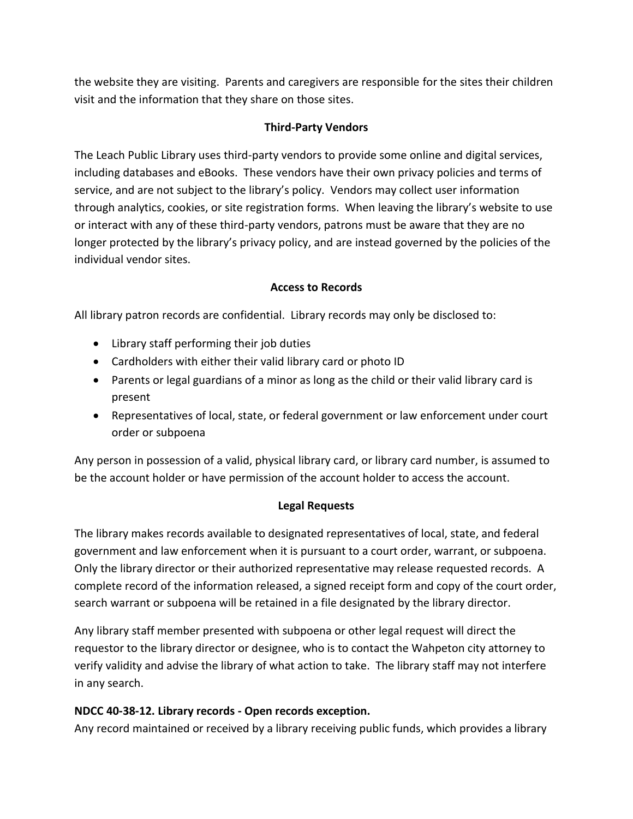the website they are visiting. Parents and caregivers are responsible for the sites their children visit and the information that they share on those sites.

#### **Third-Party Vendors**

The Leach Public Library uses third-party vendors to provide some online and digital services, including databases and eBooks. These vendors have their own privacy policies and terms of service, and are not subject to the library's policy. Vendors may collect user information through analytics, cookies, or site registration forms. When leaving the library's website to use or interact with any of these third-party vendors, patrons must be aware that they are no longer protected by the library's privacy policy, and are instead governed by the policies of the individual vendor sites.

### **Access to Records**

All library patron records are confidential. Library records may only be disclosed to:

- Library staff performing their job duties
- Cardholders with either their valid library card or photo ID
- Parents or legal guardians of a minor as long as the child or their valid library card is present
- Representatives of local, state, or federal government or law enforcement under court order or subpoena

Any person in possession of a valid, physical library card, or library card number, is assumed to be the account holder or have permission of the account holder to access the account.

# **Legal Requests**

The library makes records available to designated representatives of local, state, and federal government and law enforcement when it is pursuant to a court order, warrant, or subpoena. Only the library director or their authorized representative may release requested records. A complete record of the information released, a signed receipt form and copy of the court order, search warrant or subpoena will be retained in a file designated by the library director.

Any library staff member presented with subpoena or other legal request will direct the requestor to the library director or designee, who is to contact the Wahpeton city attorney to verify validity and advise the library of what action to take. The library staff may not interfere in any search.

# **NDCC 40-38-12. Library records - Open records exception.**

Any record maintained or received by a library receiving public funds, which provides a library